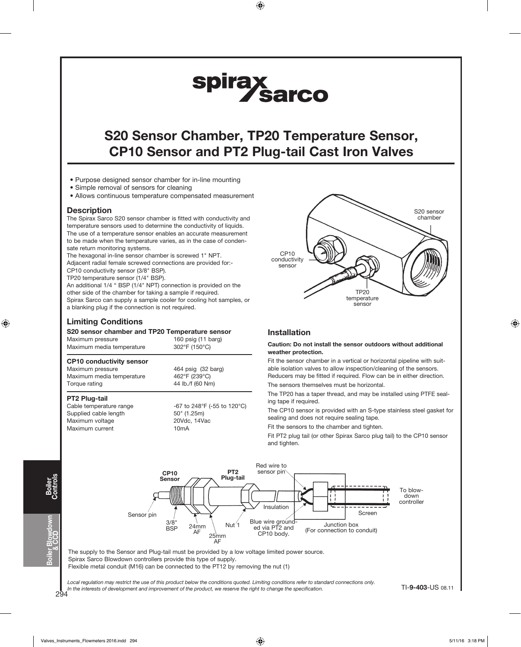# spirax<br>Sarco

# S20 Sensor Chamber, TP20 Temperature Sensor, CP10 Sensor and PT2 Plug-tail Cast Iron Valves

- Purpose designed sensor chamber for in-line mounting
- Simple removal of sensors for cleaning
- Allows continuous temperature compensated measurement

### **Description**

The Spirax Sarco S20 sensor chamber is fitted with conductivity and temperature sensors used to determine the conductivity of liquids. The use of a temperature sensor enables an accurate measurement to be made when the temperature varies, as in the case of condensate return monitoring systems.

The hexagonal in-line sensor chamber is screwed 1" NPT. Adjacent radial female screwed connections are provided for:-

CP10 conductivity sensor (3/8" BSP). TP20 temperature sensor (1/4" BSP).

An additional 1/4 " BSP (1/4" NPT) connection is provided on the other side of the chamber for taking a sample if required. Spirax Sarco can supply a sample cooler for cooling hot samples, or a blanking plug if the connection is not required.

### Limiting Conditions

### S20 sensor chamber and TP20 Temperature sensor

Maximum media temperature 462°F (239°C)

| Maximum pressure<br>Maximum media temperature | 160 psig (11 barg)<br>302°F (150°C) |
|-----------------------------------------------|-------------------------------------|
| <b>CP10 conductivity sensor</b>               |                                     |
| Maximum pressure                              | 464 psig (32 barg)                  |

### Torque rating  $44$  lb./f (60 Nm)

PT2 Plug-tail Supplied cable length 50" (1.25m) Maximum voltage 20Vdc, 14Vac Maximum current 10mA

Cable temperature range  $-67$  to 248°F (-55 to 120°C)



### Installation

#### Caution: Do not install the sensor outdoors without additional weather protection.

Fit the sensor chamber in a vertical or horizontal pipeline with suitable isolation valves to allow inspection/cleaning of the sensors. Reducers may be fitted if required. Flow can be in either direction.

The sensors themselves must be horizontal.

The TP20 has a taper thread, and may be installed using PTFE sealing tape if required.

The CP10 sensor is provided with an S-type stainless steel gasket for sealing and does not require sealing tape.

Fit the sensors to the chamber and tighten.

Fit PT2 plug tail (or other Spirax Sarco plug tail) to the CP10 sensor and tighten.



The supply to the Sensor and Plug-tail must be provided by a low voltage limited power source. Spirax Sarco Blowdown controllers provide this type of supply. Flexible metal conduit (M16) can be connected to the PT12 by removing the nut (1)

Local regulation may restrict the use of this product below the conditions quoted. Limiting conditions refer to standard connections only. In the interests of development and improvement of the product, we reserve the right to change the specification.